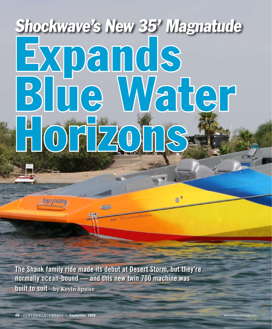## Expands Blue Water OFF720 Shockwave's New 35' Magnatude

**Bar Wingmaton** 

 $e^{\circ}$ 

The Shank family ride made its debut at Desert Storm, but they're normally ocean-bound — and this new twin 700 machine was built to suit **by Kevin Spaise**

il yn procy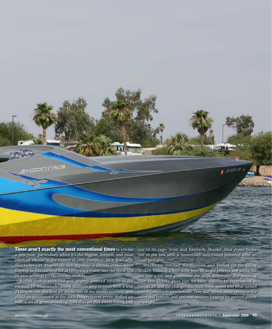These aren't exactly the most conventional times to release a new boat, particularly when it's the biggest, deepest, and most involved release in the history of your company. So it goes with Shockwave's 35' Magnatude, heir apparent to the role of blue water flagship in this talented SoCal company's realm, and the latest in a 15-year series of hit Shockwave models.

Rather than a stretched and slightly evolved version of the existing 34' Magnatude, also a multiple step bottom with a true 24 degree cut, the first 35' broke out of the molds recently, and made an appearance at the 2009 Desert Storm event. Buffed up with a set of great-sounding 700s that let this sweet-riding hull out of its cage, Scott and Kimberly Shanks' *Mad Props* broke out of the box with a SmartCraft sanctioned hundred mile an hour pedigree.

Shockwave notched the transom and beefed up the lifting strakes, building a little more bow lift in the process and airing out the ride a bit, and positioned the steps differently. The resulting ride, says Shanks, gives him the same stability he experienced in his old 29', and the changes also built some speed into what turned into a completely new bottom. They also added some coring to the sides and bottom, and optional vacuum bagging for optimal power to weight.

SHOCKWART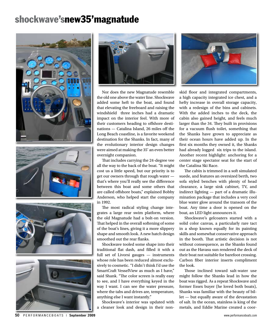## shockwave'snew35'magnatude





Nor does the new Magnatude resemble the old one above the water line. Shockwave added some heft to the boat, and found that elevating the freeboard and raising the windshield three inches had a dramatic impact on the interior feel. With more of their customers heading to offshore destinations — Catalina Island, 26 miles off the Long Beach coastline, is a favorite weekend destination for the Shanks. In fact, many of the evolutionary interior design changes were aimed at making the 35' an even better overnight companion.

That includes carrying the 24-degree vee all the way to the back of the boat. "It might cost us a little speed, but our priority is to get our owners through that rough water that's where you'll really see the difference between this boat and some others that are called offshore boats," explained Bobby Anderson, who helped start the company in 1992.

The most radical styling change integrates a large rear swim platform, where the old Magnatude had a bolt-on version. That helped in the overall softening of some of the boat's lines, giving it a more slippery shape and smooth look. A new hatch design smoothed out the rear flanks.

Shockwave tooled some shape into their traditional flat dash, and filled it with a full set of Livorsi gauges — instruments whose role has been reduced almost exclusively to cosmetic. "I didn't think I'd use the SmartCraft VesselView as much as I have," said Shank. "The color screen is really easy to see, and I have everything keyed in the way I want. I can see the water pressure, where the tabs and drives are, temperature, anything else I want instantly."

Shockwave's interior was updated with a cleaner look and design in their non-



skid floor and integrated compartments, a high capacity integrated ice chest, and a hefty increase in overall storage capacity, with a redesign of the bins and cabinets. With the added inches to the deck, the cabin also gained height, and feels much larger than the 34. They built in provisions for a vacuum flush toilet, something that the Shanks have grown to appreciate as their ocean hours have added up. In the first six months they owned it, the Shanks had already logged six trips to the island. Another recent highlight: anchoring for a center stage spectator seat for the start of the Catalina Ski Race.

The cabin is trimmed in a soft simulated suede, and features an oversized berth, two sofa styled benches with plenty of head clearance, a large sink cabinet, TV, and indirect lighting — part of a dramatic illumination package that includes a very cool blue water glow around the transom of the boat. Any time a door is opened on the boat, an LED light announces it.

Shockwave's gelcoaters started with a solid color canvas, a particularly rare tact in a shop known equally for its painting skills and somewhat conservative approach in the booth. That artistic decision is not without consequence, as the Shanks found out as the Havasu sun rendered the deck of their boat not suitable for barefoot crossing. Carbon fiber interior inserts compliment the look.

Those inclined toward salt-water use might follow the Shanks lead in how the boat was rigged. As a repeat Shockwave and former Essex buyer (he loved both boats), Shanks was familiar with the beauty of billet — but equally aware of the devastation of salt. In the ocean, stainless is king of the metals, and Eddie Marine created a coor-